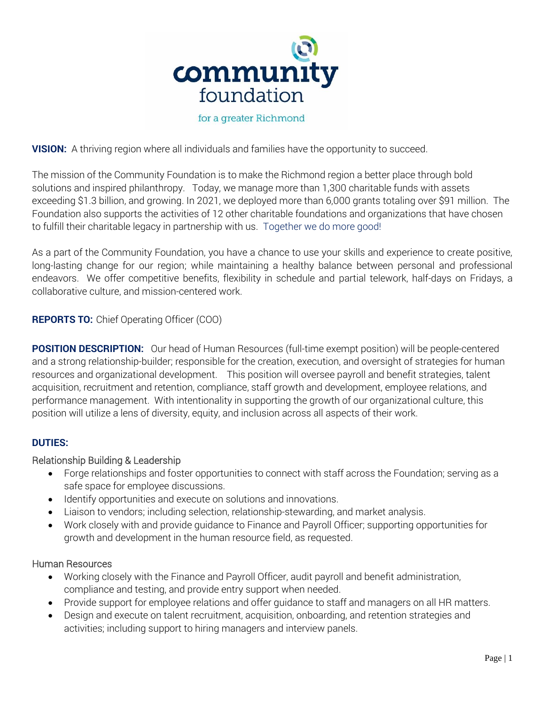

# **VISION:** A thriving region where all individuals and families have the opportunity to succeed.

The mission of the Community Foundation is to make the Richmond region a better place through bold solutions and inspired philanthropy. Today, we manage more than 1,300 charitable funds with assets exceeding \$1.3 billion, and growing. In 2021, we deployed more than 6,000 grants totaling over \$91 million. The Foundation also supports the activities of 12 other charitable foundations and organizations that have chosen to fulfill their charitable legacy in partnership with us. Together we do more good!

As a part of the Community Foundation, you have a chance to use your skills and experience to create positive, long-lasting change for our region; while maintaining a healthy balance between personal and professional endeavors. We offer competitive benefits, flexibility in schedule and partial telework, half-days on Fridays, a collaborative culture, and mission-centered work.

## **REPORTS TO:** Chief Operating Officer (COO)

**POSITION DESCRIPTION:** Our head of Human Resources (full-time exempt position) will be people-centered and a strong relationship-builder; responsible for the creation, execution, and oversight of strategies for human resources and organizational development. This position will oversee payroll and benefit strategies, talent acquisition, recruitment and retention, compliance, staff growth and development, employee relations, and performance management. With intentionality in supporting the growth of our organizational culture, this position will utilize a lens of diversity, equity, and inclusion across all aspects of their work.

## **DUTIES:**

## Relationship Building & Leadership

- Forge relationships and foster opportunities to connect with staff across the Foundation; serving as a safe space for employee discussions.
- Identify opportunities and execute on solutions and innovations.
- Liaison to vendors; including selection, relationship-stewarding, and market analysis.
- Work closely with and provide guidance to Finance and Payroll Officer; supporting opportunities for growth and development in the human resource field, as requested.

## Human Resources

- Working closely with the Finance and Payroll Officer, audit payroll and benefit administration, compliance and testing, and provide entry support when needed.
- Provide support for employee relations and offer guidance to staff and managers on all HR matters.
- Design and execute on talent recruitment, acquisition, onboarding, and retention strategies and activities; including support to hiring managers and interview panels.